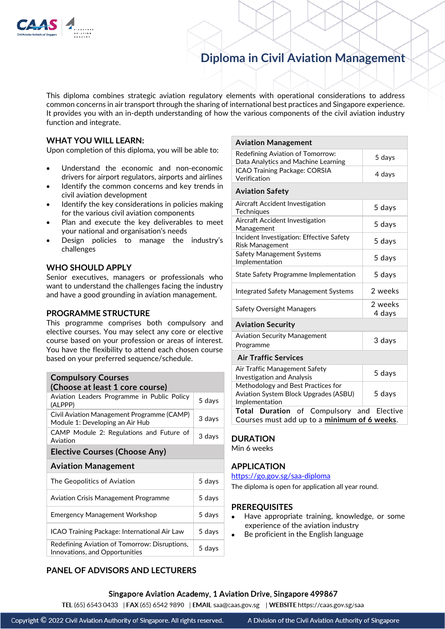

# **[Diploma in Civil Aviation Management](http://go.gov.sg/dipcam)**

**Aviation Management**

This diploma combines strategic aviation regulatory elements with operational considerations to address common concerns in air transport through the sharing of international best practices and Singapore experience. It provides you with an in-depth understanding of how the various components of the civil aviation industry function and integrate.

# **WHAT YOU WILL LEARN:**

Upon completion of this diploma, you will be able to:

- Understand the economic and non-economic drivers for airport regulators, airports and airlines
- Identify the common concerns and key trends in civil aviation development
- Identify the key considerations in policies making for the various civil aviation components
- Plan and execute the key deliverables to meet your national and organisation's needs
- Design policies to manage the industry's challenges

# **WHO SHOULD APPLY**

Senior executives, managers or professionals who want to understand the challenges facing the industry and have a good grounding in aviation management.

#### **PROGRAMME STRUCTURE**

This programme comprises both compulsory and elective courses. You may select any core or elective course based on your profession or areas of interest. You have the flexibility to attend each chosen course based on your preferred sequence/schedule.

#### **Compulsory Courses**

## **(Choose at least 1 core course)**

| Aviation Leaders Programme in Public Policy<br>(ALPPP)                        | 5 days |
|-------------------------------------------------------------------------------|--------|
| Civil Aviation Management Programme (CAMP)<br>Module 1: Developing an Air Hub | 3 days |
| CAMP Module 2: Regulations and Future of<br>Aviation                          | 3 days |

#### **Elective Courses (Choose Any)**

#### **Aviation Management**

| The Geopolitics of Aviation                                                     | 5 days |
|---------------------------------------------------------------------------------|--------|
| Aviation Crisis Management Programme                                            | 5 davs |
| <b>Emergency Management Workshop</b>                                            | 5 days |
| ICAO Training Package: International Air Law                                    | 5 days |
| Redefining Aviation of Tomorrow: Disruptions,<br>Innovations, and Opportunities | 5 days |

# **PANEL OF ADVISORS AND LECTURERS**

| Redefining Aviation of Tomorrow:<br>Data Analytics and Machine Learning                             | 5 days            |  |
|-----------------------------------------------------------------------------------------------------|-------------------|--|
| <b>ICAO Training Package: CORSIA</b><br>Verification                                                | 4 days            |  |
| <b>Aviation Safety</b>                                                                              |                   |  |
| Aircraft Accident Investigation<br>Techniques                                                       | 5 days            |  |
| Aircraft Accident Investigation<br>Management                                                       | 5 days            |  |
| Incident Investigation: Effective Safety<br>Risk Management                                         | 5 days            |  |
| Safety Management Systems<br>Implementation                                                         | 5 days            |  |
| <b>State Safety Programme Implementation</b>                                                        | 5 days            |  |
| Integrated Safety Management Systems                                                                | 2 weeks           |  |
| Safety Oversight Managers                                                                           | 2 weeks<br>4 days |  |
| <b>Aviation Security</b>                                                                            |                   |  |
| <b>Aviation Security Management</b><br>Programme                                                    | 3 days            |  |
| <b>Air Traffic Services</b>                                                                         |                   |  |
| Air Traffic Management Safety<br><b>Investigation and Analysis</b>                                  | 5 days            |  |
| Methodology and Best Practices for<br>Aviation System Block Upgrades (ASBU)<br>Implementation       | 5 days            |  |
| Total<br><b>Duration</b> of Compulsory and Elective<br>Courses must add up to a minimum of 6 weeks. |                   |  |
|                                                                                                     |                   |  |

#### **DURATION**

Min 6 weeks

# **APPLICATION**

<https://go.gov.sg/saa-diploma>

The diploma is open for application all year round.

# **PREREQUISITES**

- Have appropriate training, knowledge, or some experience of the aviation industry
- Be proficient in the English language

#### Singapore Aviation Academy, 1 Aviation Drive, Singapore 499867

TEL (65) 6543 0433 | FAX (65) 6542 9890 | EMAIL saa@caas.gov.sg | WEBSITE https://caas.gov.sg/saa